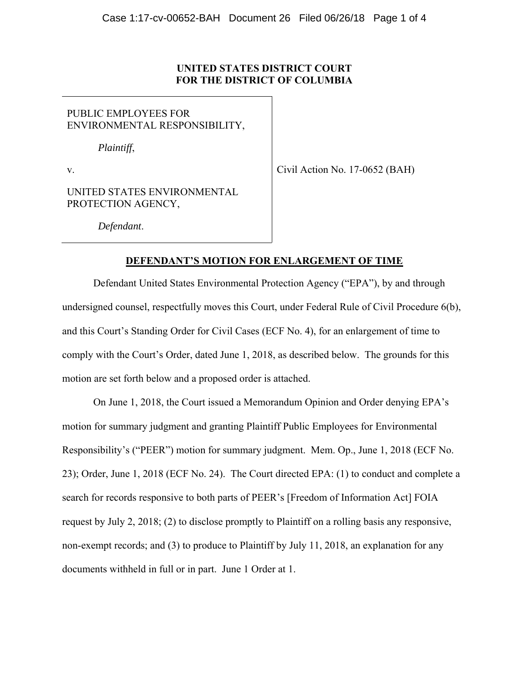# **UNITED STATES DISTRICT COURT FOR THE DISTRICT OF COLUMBIA**

PUBLIC EMPLOYEES FOR ENVIRONMENTAL RESPONSIBILITY,

*Plaintiff*,

v.

Civil Action No. 17-0652 (BAH)

UNITED STATES ENVIRONMENTAL PROTECTION AGENCY,

*Defendant*.

## **DEFENDANT'S MOTION FOR ENLARGEMENT OF TIME**

Defendant United States Environmental Protection Agency ("EPA"), by and through undersigned counsel, respectfully moves this Court, under Federal Rule of Civil Procedure 6(b), and this Court's Standing Order for Civil Cases (ECF No. 4), for an enlargement of time to comply with the Court's Order, dated June 1, 2018, as described below. The grounds for this motion are set forth below and a proposed order is attached.

On June 1, 2018, the Court issued a Memorandum Opinion and Order denying EPA's motion for summary judgment and granting Plaintiff Public Employees for Environmental Responsibility's ("PEER") motion for summary judgment. Mem. Op., June 1, 2018 (ECF No. 23); Order, June 1, 2018 (ECF No. 24). The Court directed EPA: (1) to conduct and complete a search for records responsive to both parts of PEER's [Freedom of Information Act] FOIA request by July 2, 2018; (2) to disclose promptly to Plaintiff on a rolling basis any responsive, non-exempt records; and (3) to produce to Plaintiff by July 11, 2018, an explanation for any documents withheld in full or in part. June 1 Order at 1.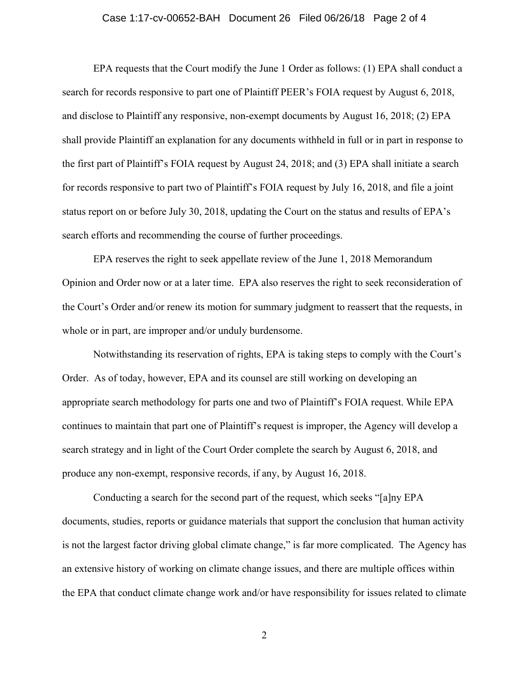#### Case 1:17-cv-00652-BAH Document 26 Filed 06/26/18 Page 2 of 4

EPA requests that the Court modify the June 1 Order as follows: (1) EPA shall conduct a search for records responsive to part one of Plaintiff PEER's FOIA request by August 6, 2018, and disclose to Plaintiff any responsive, non-exempt documents by August 16, 2018; (2) EPA shall provide Plaintiff an explanation for any documents withheld in full or in part in response to the first part of Plaintiff's FOIA request by August 24, 2018; and (3) EPA shall initiate a search for records responsive to part two of Plaintiff's FOIA request by July 16, 2018, and file a joint status report on or before July 30, 2018, updating the Court on the status and results of EPA's search efforts and recommending the course of further proceedings.

EPA reserves the right to seek appellate review of the June 1, 2018 Memorandum Opinion and Order now or at a later time. EPA also reserves the right to seek reconsideration of the Court's Order and/or renew its motion for summary judgment to reassert that the requests, in whole or in part, are improper and/or unduly burdensome.

Notwithstanding its reservation of rights, EPA is taking steps to comply with the Court's Order. As of today, however, EPA and its counsel are still working on developing an appropriate search methodology for parts one and two of Plaintiff's FOIA request. While EPA continues to maintain that part one of Plaintiff's request is improper, the Agency will develop a search strategy and in light of the Court Order complete the search by August 6, 2018, and produce any non-exempt, responsive records, if any, by August 16, 2018.

Conducting a search for the second part of the request, which seeks "[a]ny EPA documents, studies, reports or guidance materials that support the conclusion that human activity is not the largest factor driving global climate change," is far more complicated. The Agency has an extensive history of working on climate change issues, and there are multiple offices within the EPA that conduct climate change work and/or have responsibility for issues related to climate

2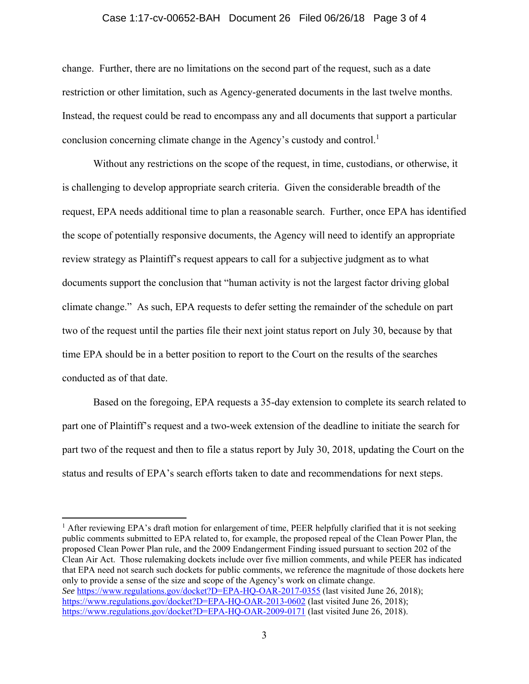#### Case 1:17-cv-00652-BAH Document 26 Filed 06/26/18 Page 3 of 4

change. Further, there are no limitations on the second part of the request, such as a date restriction or other limitation, such as Agency-generated documents in the last twelve months. Instead, the request could be read to encompass any and all documents that support a particular conclusion concerning climate change in the Agency's custody and control.<sup>1</sup>

Without any restrictions on the scope of the request, in time, custodians, or otherwise, it is challenging to develop appropriate search criteria. Given the considerable breadth of the request, EPA needs additional time to plan a reasonable search. Further, once EPA has identified the scope of potentially responsive documents, the Agency will need to identify an appropriate review strategy as Plaintiff's request appears to call for a subjective judgment as to what documents support the conclusion that "human activity is not the largest factor driving global climate change." As such, EPA requests to defer setting the remainder of the schedule on part two of the request until the parties file their next joint status report on July 30, because by that time EPA should be in a better position to report to the Court on the results of the searches conducted as of that date.

Based on the foregoing, EPA requests a 35-day extension to complete its search related to part one of Plaintiff's request and a two-week extension of the deadline to initiate the search for part two of the request and then to file a status report by July 30, 2018, updating the Court on the status and results of EPA's search efforts taken to date and recommendations for next steps.

 $\overline{a}$ 

<sup>&</sup>lt;sup>1</sup> After reviewing EPA's draft motion for enlargement of time, PEER helpfully clarified that it is not seeking public comments submitted to EPA related to, for example, the proposed repeal of the Clean Power Plan, the proposed Clean Power Plan rule, and the 2009 Endangerment Finding issued pursuant to section 202 of the Clean Air Act. Those rulemaking dockets include over five million comments, and while PEER has indicated that EPA need not search such dockets for public comments, we reference the magnitude of those dockets here only to provide a sense of the size and scope of the Agency's work on climate change. *See* https://www.regulations.gov/docket?D=EPA-HQ-OAR-2017-0355 (last visited June 26, 2018); https://www.regulations.gov/docket?D=EPA-HQ-OAR-2013-0602 (last visited June 26, 2018); https://www.regulations.gov/docket?D=EPA-HQ-OAR-2009-0171 (last visited June 26, 2018).